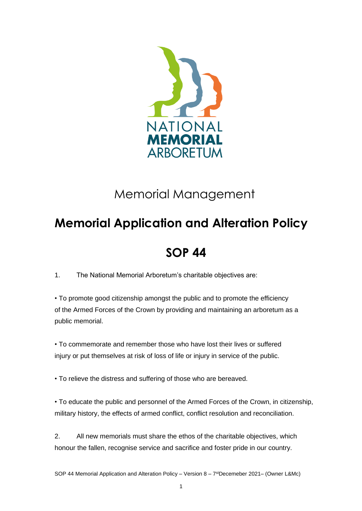

# Memorial Management

# **Memorial Application and Alteration Policy**

## **SOP 44**

1. The National Memorial Arboretum's charitable objectives are:

• To promote good citizenship amongst the public and to promote the efficiency of the Armed Forces of the Crown by providing and maintaining an arboretum as a public memorial.

• To commemorate and remember those who have lost their lives or suffered injury or put themselves at risk of loss of life or injury in service of the public.

• To relieve the distress and suffering of those who are bereaved.

• To educate the public and personnel of the Armed Forces of the Crown, in citizenship, military history, the effects of armed conflict, conflict resolution and reconciliation.

2. All new memorials must share the ethos of the charitable objectives, which honour the fallen, recognise service and sacrifice and foster pride in our country.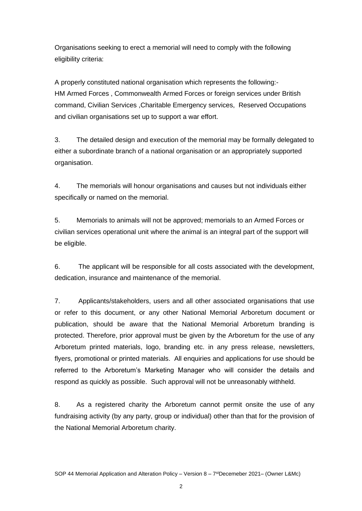Organisations seeking to erect a memorial will need to comply with the following eligibility criteria:

A properly constituted national organisation which represents the following:- HM Armed Forces , Commonwealth Armed Forces or foreign services under British command, Civilian Services ,Charitable Emergency services, Reserved Occupations and civilian organisations set up to support a war effort.

3. The detailed design and execution of the memorial may be formally delegated to either a subordinate branch of a national organisation or an appropriately supported organisation.

4. The memorials will honour organisations and causes but not individuals either specifically or named on the memorial.

5. Memorials to animals will not be approved; memorials to an Armed Forces or civilian services operational unit where the animal is an integral part of the support will be eligible.

6. The applicant will be responsible for all costs associated with the development, dedication, insurance and maintenance of the memorial.

7. Applicants/stakeholders, users and all other associated organisations that use or refer to this document, or any other National Memorial Arboretum document or publication, should be aware that the National Memorial Arboretum branding is protected. Therefore, prior approval must be given by the Arboretum for the use of any Arboretum printed materials, logo, branding etc. in any press release, newsletters, flyers, promotional or printed materials. All enquiries and applications for use should be referred to the Arboretum's Marketing Manager who will consider the details and respond as quickly as possible. Such approval will not be unreasonably withheld.

8. As a registered charity the Arboretum cannot permit onsite the use of any fundraising activity (by any party, group or individual) other than that for the provision of the National Memorial Arboretum charity.

2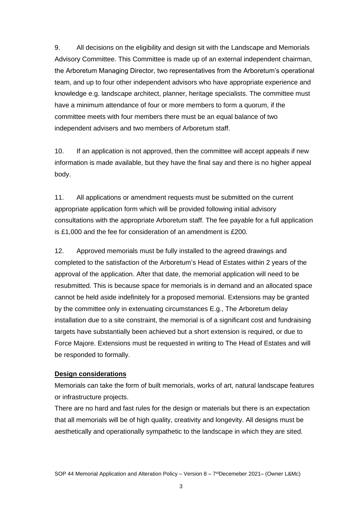9. All decisions on the eligibility and design sit with the Landscape and Memorials Advisory Committee. This Committee is made up of an external independent chairman, the Arboretum Managing Director, two representatives from the Arboretum's operational team, and up to four other independent advisors who have appropriate experience and knowledge e.g. landscape architect, planner, heritage specialists. The committee must have a minimum attendance of four or more members to form a quorum, if the committee meets with four members there must be an equal balance of two independent advisers and two members of Arboretum staff.

10. If an application is not approved, then the committee will accept appeals if new information is made available, but they have the final say and there is no higher appeal body.

11. All applications or amendment requests must be submitted on the current appropriate application form which will be provided following initial advisory consultations with the appropriate Arboretum staff. The fee payable for a full application is £1,000 and the fee for consideration of an amendment is £200.

12. Approved memorials must be fully installed to the agreed drawings and completed to the satisfaction of the Arboretum's Head of Estates within 2 years of the approval of the application. After that date, the memorial application will need to be resubmitted. This is because space for memorials is in demand and an allocated space cannot be held aside indefinitely for a proposed memorial. Extensions may be granted by the committee only in extenuating circumstances E.g., The Arboretum delay installation due to a site constraint, the memorial is of a significant cost and fundraising targets have substantially been achieved but a short extension is required, or due to Force Majore. Extensions must be requested in writing to The Head of Estates and will be responded to formally.

#### **Design considerations**

Memorials can take the form of built memorials, works of art, natural landscape features or infrastructure projects.

There are no hard and fast rules for the design or materials but there is an expectation that all memorials will be of high quality, creativity and longevity. All designs must be aesthetically and operationally sympathetic to the landscape in which they are sited.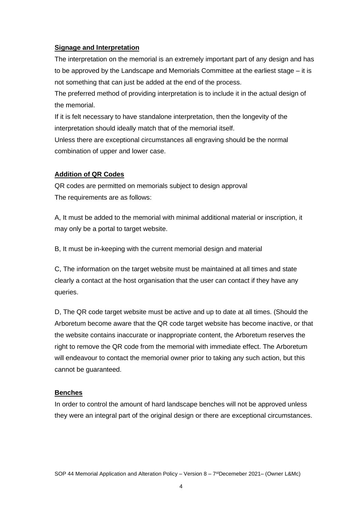#### **Signage and Interpretation**

The interpretation on the memorial is an extremely important part of any design and has to be approved by the Landscape and Memorials Committee at the earliest stage – it is not something that can just be added at the end of the process.

The preferred method of providing interpretation is to include it in the actual design of the memorial.

If it is felt necessary to have standalone interpretation, then the longevity of the interpretation should ideally match that of the memorial itself.

Unless there are exceptional circumstances all engraving should be the normal combination of upper and lower case.

### **Addition of QR Codes**

QR codes are permitted on memorials subject to design approval The requirements are as follows:

A, It must be added to the memorial with minimal additional material or inscription, it may only be a portal to target website.

B, It must be in-keeping with the current memorial design and material

C, The information on the target website must be maintained at all times and state clearly a contact at the host organisation that the user can contact if they have any queries.

D, The QR code target website must be active and up to date at all times. (Should the Arboretum become aware that the QR code target website has become inactive, or that the website contains inaccurate or inappropriate content, the Arboretum reserves the right to remove the QR code from the memorial with immediate effect. The Arboretum will endeavour to contact the memorial owner prior to taking any such action, but this cannot be guaranteed.

### **Benches**

In order to control the amount of hard landscape benches will not be approved unless they were an integral part of the original design or there are exceptional circumstances.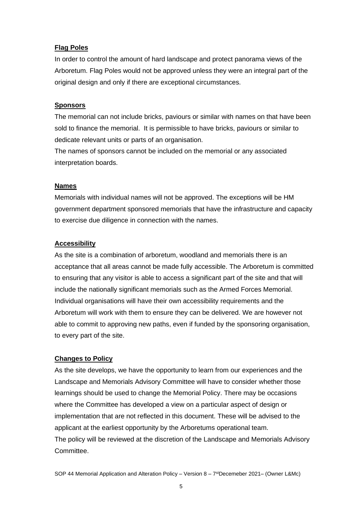#### **Flag Poles**

In order to control the amount of hard landscape and protect panorama views of the Arboretum. Flag Poles would not be approved unless they were an integral part of the original design and only if there are exceptional circumstances.

#### **Sponsors**

The memorial can not include bricks, paviours or similar with names on that have been sold to finance the memorial. It is permissible to have bricks, paviours or similar to dedicate relevant units or parts of an organisation.

The names of sponsors cannot be included on the memorial or any associated interpretation boards.

#### **Names**

Memorials with individual names will not be approved. The exceptions will be HM government department sponsored memorials that have the infrastructure and capacity to exercise due diligence in connection with the names.

#### **Accessibility**

As the site is a combination of arboretum, woodland and memorials there is an acceptance that all areas cannot be made fully accessible. The Arboretum is committed to ensuring that any visitor is able to access a significant part of the site and that will include the nationally significant memorials such as the Armed Forces Memorial. Individual organisations will have their own accessibility requirements and the Arboretum will work with them to ensure they can be delivered. We are however not able to commit to approving new paths, even if funded by the sponsoring organisation, to every part of the site.

#### **Changes to Policy**

As the site develops, we have the opportunity to learn from our experiences and the Landscape and Memorials Advisory Committee will have to consider whether those learnings should be used to change the Memorial Policy. There may be occasions where the Committee has developed a view on a particular aspect of design or implementation that are not reflected in this document. These will be advised to the applicant at the earliest opportunity by the Arboretums operational team. The policy will be reviewed at the discretion of the Landscape and Memorials Advisory Committee.

SOP 44 Memorial Application and Alteration Policy – Version 8 – 7 stDecemeber 2021– (Owner L&Mc)

5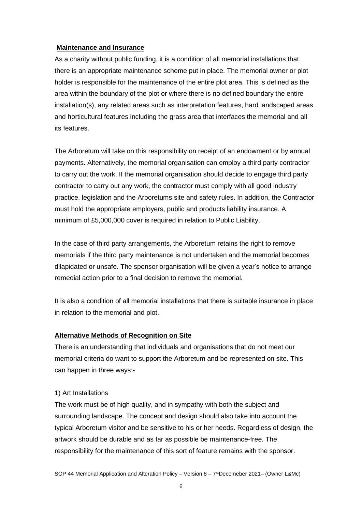#### **Maintenance and Insurance**

As a charity without public funding, it is a condition of all memorial installations that there is an appropriate maintenance scheme put in place. The memorial owner or plot holder is responsible for the maintenance of the entire plot area. This is defined as the area within the boundary of the plot or where there is no defined boundary the entire installation(s), any related areas such as interpretation features, hard landscaped areas and horticultural features including the grass area that interfaces the memorial and all its features.

The Arboretum will take on this responsibility on receipt of an endowment or by annual payments. Alternatively, the memorial organisation can employ a third party contractor to carry out the work. If the memorial organisation should decide to engage third party contractor to carry out any work, the contractor must comply with all good industry practice, legislation and the Arboretums site and safety rules. In addition, the Contractor must hold the appropriate employers, public and products liability insurance. A minimum of £5,000,000 cover is required in relation to Public Liability.

In the case of third party arrangements, the Arboretum retains the right to remove memorials if the third party maintenance is not undertaken and the memorial becomes dilapidated or unsafe. The sponsor organisation will be given a year's notice to arrange remedial action prior to a final decision to remove the memorial.

It is also a condition of all memorial installations that there is suitable insurance in place in relation to the memorial and plot.

#### **Alternative Methods of Recognition on Site**

There is an understanding that individuals and organisations that do not meet our memorial criteria do want to support the Arboretum and be represented on site. This can happen in three ways:-

#### 1) Art Installations

The work must be of high quality, and in sympathy with both the subject and surrounding landscape. The concept and design should also take into account the typical Arboretum visitor and be sensitive to his or her needs. Regardless of design, the artwork should be durable and as far as possible be maintenance-free. The responsibility for the maintenance of this sort of feature remains with the sponsor.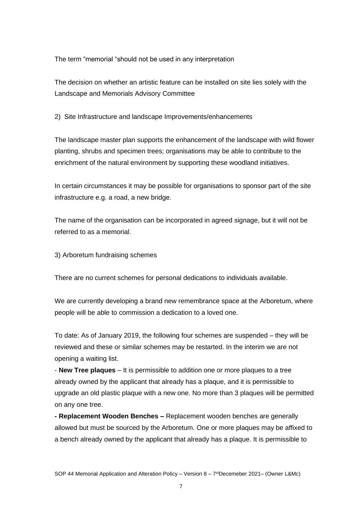The term "memorial "should not be used in any interpretation

The decision on whether an artistic feature can be installed on site lies solely with the Landscape and Memorials Advisory Committee

2) Site Infrastructure and landscape Improvements/enhancements

The landscape master plan supports the enhancement of the landscape with wild flower planting, shrubs and specimen trees; organisations may be able to contribute to the enrichment of the natural environment by supporting these woodland initiatives.

In certain circumstances it may be possible for organisations to sponsor part of the site infrastructure e.g. a road, a new bridge.

The name of the organisation can be incorporated in agreed signage, but it will not be referred to as a memorial.

3) Arboretum fundraising schemes

There are no current schemes for personal dedications to individuals available.

We are currently developing a brand new remembrance space at the Arboretum, where people will be able to commission a dedication to a loved one.

To date: As of January 2019, the following four schemes are suspended – they will be reviewed and these or similar schemes may be restarted. In the interim we are not opening a waiting list.

- **New Tree plaques** – It is permissible to addition one or more plaques to a tree already owned by the applicant that already has a plaque, and it is permissible to upgrade an old plastic plaque with a new one. No more than 3 plaques will be permitted on any one tree.

**- Replacement Wooden Benches –** Replacement wooden benches are generally allowed but must be sourced by the Arboretum. One or more plaques may be affixed to a bench already owned by the applicant that already has a plaque. It is permissible to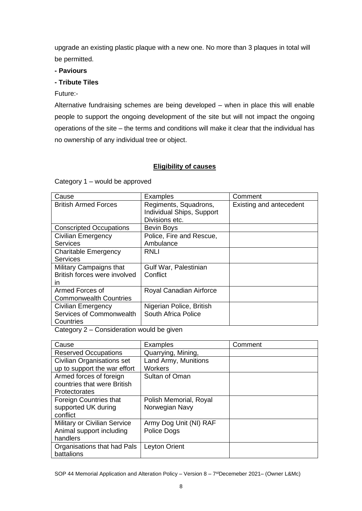upgrade an existing plastic plaque with a new one. No more than 3 plaques in total will be permitted.

#### **- Paviours**

#### **- Tribute Tiles**

#### Future:-

Alternative fundraising schemes are being developed – when in place this will enable people to support the ongoing development of the site but will not impact the ongoing operations of the site – the terms and conditions will make it clear that the individual has no ownership of any individual tree or object.

### **Eligibility of causes**

Category 1 – would be approved

| Cause                          | Examples                  | Comment                 |
|--------------------------------|---------------------------|-------------------------|
| <b>British Armed Forces</b>    | Regiments, Squadrons,     | Existing and antecedent |
|                                | Individual Ships, Support |                         |
|                                | Divisions etc.            |                         |
| <b>Conscripted Occupations</b> | Bevin Boys                |                         |
| Civilian Emergency             | Police, Fire and Rescue,  |                         |
| <b>Services</b>                | Ambulance                 |                         |
| <b>Charitable Emergency</b>    | RNLI                      |                         |
| <b>Services</b>                |                           |                         |
| Military Campaigns that        | Gulf War, Palestinian     |                         |
| British forces were involved   | Conflict                  |                         |
| in.                            |                           |                         |
| Armed Forces of                | Royal Canadian Airforce   |                         |
| <b>Commonwealth Countries</b>  |                           |                         |
| <b>Civilian Emergency</b>      | Nigerian Police, British  |                         |
| Services of Commonwealth       | South Africa Police       |                         |
| Countries                      |                           |                         |

Category 2 – Consideration would be given

| Cause                        | Examples               | Comment |
|------------------------------|------------------------|---------|
| <b>Reserved Occupations</b>  | Quarrying, Mining,     |         |
| Civilian Organisations set   | Land Army, Munitions   |         |
| up to support the war effort | <b>Workers</b>         |         |
| Armed forces of foreign      | Sultan of Oman         |         |
| countries that were British  |                        |         |
| Protectorates                |                        |         |
| Foreign Countries that       | Polish Memorial, Royal |         |
| supported UK during          | Norwegian Navy         |         |
| conflict                     |                        |         |
| Military or Civilian Service | Army Dog Unit (NI) RAF |         |
| Animal support including     | Police Dogs            |         |
| handlers                     |                        |         |
| Organisations that had Pals  | Leyton Orient          |         |
| battalions                   |                        |         |